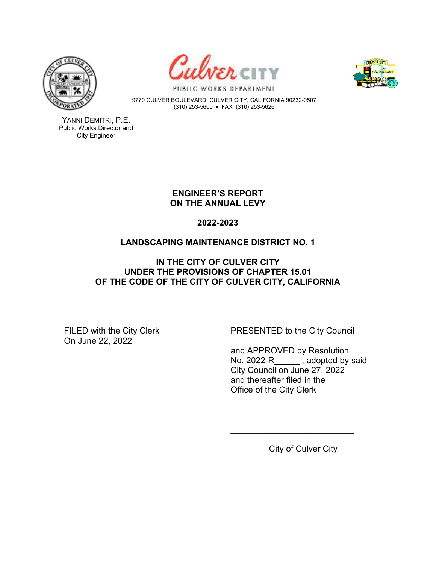





PUBLIC WORKS DEPARTMENT

9770 CULVER BOULEVARD, CULVER CITY, CALIFORNIA 90232-0507 (310) 253-5600 FAX (310) 253-5626

YANNI DEMITRI, P.E. Public Works Director and City Engineer

# **ENGINEER'S REPORT ON THE ANNUAL LEVY**

# **2022-2023**

# **LANDSCAPING MAINTENANCE DISTRICT NO. 1**

# **IN THE CITY OF CULVER CITY UNDER THE PROVISIONS OF CHAPTER 15.01 OF THE CODE OF THE CITY OF CULVER CITY, CALIFORNIA**

 $\overline{\phantom{a}}$ 

On June 22, 2022

FILED with the City Clerk PRESENTED to the City Council

and APPROVED by Resolution No. 2022-R , adopted by said City Council on June 27, 2022 and thereafter filed in the Office of the City Clerk

City of Culver City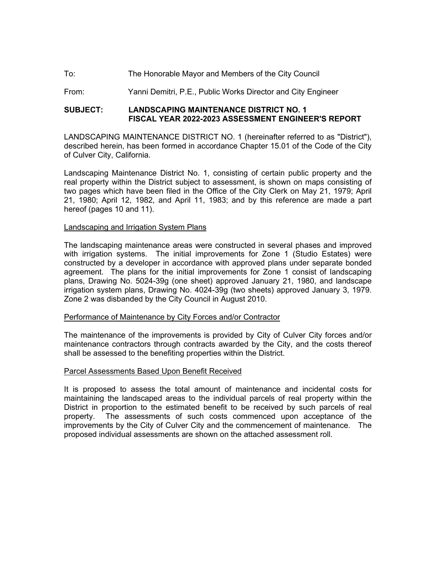## To: The Honorable Mayor and Members of the City Council

From: Yanni Demitri, P.E., Public Works Director and City Engineer

## **SUBJECT: LANDSCAPING MAINTENANCE DISTRICT NO. 1 FISCAL YEAR 2022-2023 ASSESSMENT ENGINEER'S REPORT**

LANDSCAPING MAINTENANCE DISTRICT NO. 1 (hereinafter referred to as "District"), described herein, has been formed in accordance Chapter 15.01 of the Code of the City of Culver City, California.

Landscaping Maintenance District No. 1, consisting of certain public property and the real property within the District subject to assessment, is shown on maps consisting of two pages which have been filed in the Office of the City Clerk on May 21, 1979; April 21, 1980; April 12, 1982, and April 11, 1983; and by this reference are made a part hereof (pages 10 and 11).

#### Landscaping and Irrigation System Plans

The landscaping maintenance areas were constructed in several phases and improved with irrigation systems. The initial improvements for Zone 1 (Studio Estates) were constructed by a developer in accordance with approved plans under separate bonded agreement. The plans for the initial improvements for Zone 1 consist of landscaping plans, Drawing No. 5024-39g (one sheet) approved January 21, 1980, and landscape irrigation system plans, Drawing No. 4024-39g (two sheets) approved January 3, 1979. Zone 2 was disbanded by the City Council in August 2010.

### Performance of Maintenance by City Forces and/or Contractor

The maintenance of the improvements is provided by City of Culver City forces and/or maintenance contractors through contracts awarded by the City, and the costs thereof shall be assessed to the benefiting properties within the District.

#### Parcel Assessments Based Upon Benefit Received

It is proposed to assess the total amount of maintenance and incidental costs for maintaining the landscaped areas to the individual parcels of real property within the District in proportion to the estimated benefit to be received by such parcels of real property. The assessments of such costs commenced upon acceptance of the improvements by the City of Culver City and the commencement of maintenance. The proposed individual assessments are shown on the attached assessment roll.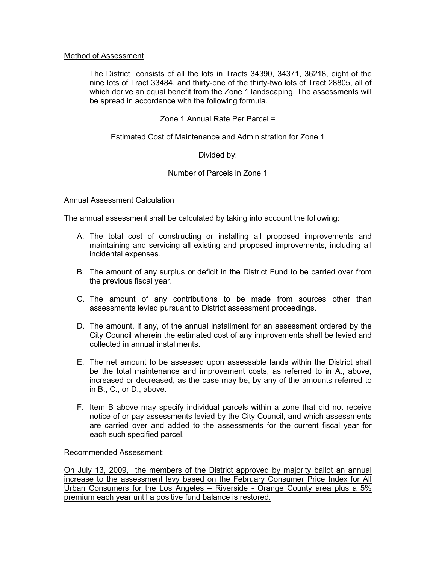## Method of Assessment

The District consists of all the lots in Tracts 34390, 34371, 36218, eight of the nine lots of Tract 33484, and thirty-one of the thirty-two lots of Tract 28805, all of which derive an equal benefit from the Zone 1 landscaping. The assessments will be spread in accordance with the following formula.

## Zone 1 Annual Rate Per Parcel =

Estimated Cost of Maintenance and Administration for Zone 1

## Divided by:

### Number of Parcels in Zone 1

### Annual Assessment Calculation

The annual assessment shall be calculated by taking into account the following:

- A. The total cost of constructing or installing all proposed improvements and maintaining and servicing all existing and proposed improvements, including all incidental expenses.
- B. The amount of any surplus or deficit in the District Fund to be carried over from the previous fiscal year.
- C. The amount of any contributions to be made from sources other than assessments levied pursuant to District assessment proceedings.
- D. The amount, if any, of the annual installment for an assessment ordered by the City Council wherein the estimated cost of any improvements shall be levied and collected in annual installments.
- E. The net amount to be assessed upon assessable lands within the District shall be the total maintenance and improvement costs, as referred to in A., above, increased or decreased, as the case may be, by any of the amounts referred to in B., C., or D., above.
- F. Item B above may specify individual parcels within a zone that did not receive notice of or pay assessments levied by the City Council, and which assessments are carried over and added to the assessments for the current fiscal year for each such specified parcel.

Recommended Assessment:

On July 13, 2009, the members of the District approved by majority ballot an annual increase to the assessment levy based on the February Consumer Price Index for All Urban Consumers for the Los Angeles - Riverside - Orange County area plus a 5% premium each year until a positive fund balance is restored.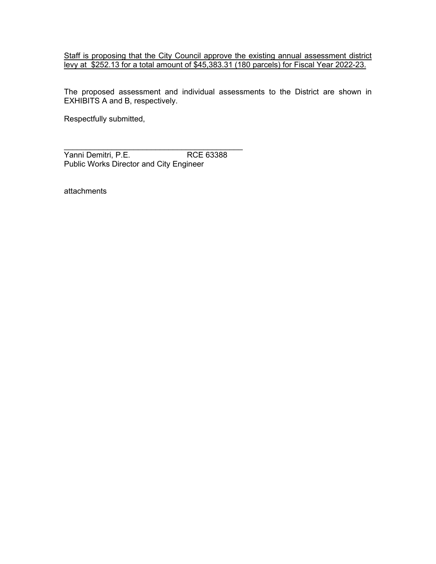Staff is proposing that the City Council approve the existing annual assessment district levy at \$252.13 for a total amount of \$45,383.31 (180 parcels) for Fiscal Year 2022-23.

The proposed assessment and individual assessments to the District are shown in EXHIBITS A and B, respectively.

Respectfully submitted,

\_\_\_\_\_\_\_\_\_\_\_\_\_\_\_\_\_\_\_\_\_\_\_\_\_\_\_\_\_\_\_\_\_\_\_\_\_\_\_\_\_ Yanni Demitri, P.E. RCE 63388 Public Works Director and City Engineer

attachments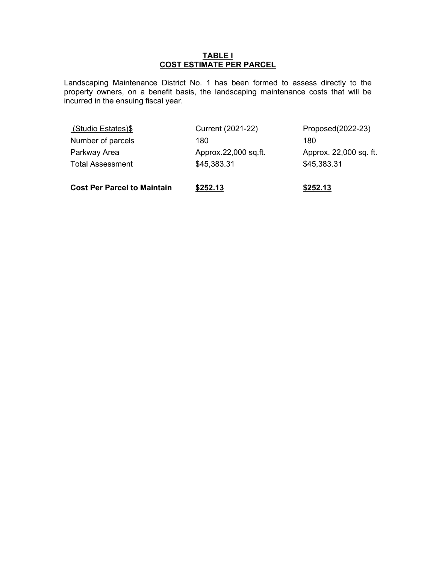### **TABLE I COST ESTIMATE PER PARCEL**

Landscaping Maintenance District No. 1 has been formed to assess directly to the property owners, on a benefit basis, the landscaping maintenance costs that will be incurred in the ensuing fiscal year.

| Current (2021-22)    | Proposed(2022-23)      |
|----------------------|------------------------|
| 180                  | 180                    |
| Approx.22,000 sq.ft. | Approx. 22,000 sq. ft. |
| \$45,383.31          | \$45,383.31            |
|                      |                        |
|                      |                        |

**Cost Per Parcel to Maintain** \$252.13 **\$252.13**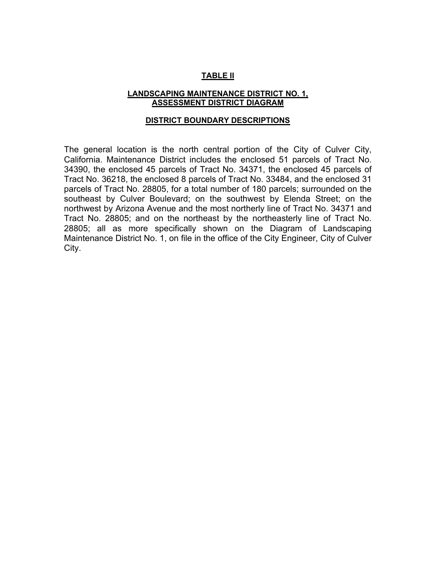## **TABLE II**

### **LANDSCAPING MAINTENANCE DISTRICT NO. 1, ASSESSMENT DISTRICT DIAGRAM**

#### **DISTRICT BOUNDARY DESCRIPTIONS**

The general location is the north central portion of the City of Culver City, California. Maintenance District includes the enclosed 51 parcels of Tract No. 34390, the enclosed 45 parcels of Tract No. 34371, the enclosed 45 parcels of Tract No. 36218, the enclosed 8 parcels of Tract No. 33484, and the enclosed 31 parcels of Tract No. 28805, for a total number of 180 parcels; surrounded on the southeast by Culver Boulevard; on the southwest by Elenda Street; on the northwest by Arizona Avenue and the most northerly line of Tract No. 34371 and Tract No. 28805; and on the northeast by the northeasterly line of Tract No. 28805; all as more specifically shown on the Diagram of Landscaping Maintenance District No. 1, on file in the office of the City Engineer, City of Culver City.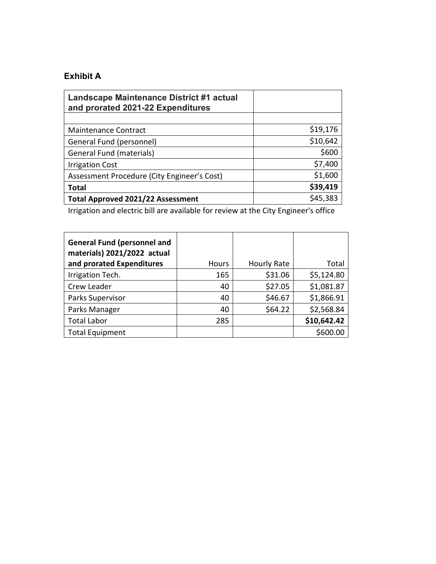# **Exhibit A**

| Landscape Maintenance District #1 actual<br>and prorated 2021-22 Expenditures |          |
|-------------------------------------------------------------------------------|----------|
|                                                                               |          |
| <b>Maintenance Contract</b>                                                   | \$19,176 |
| General Fund (personnel)                                                      | \$10,642 |
| General Fund (materials)                                                      | \$600    |
| <b>Irrigation Cost</b>                                                        | \$7,400  |
| Assessment Procedure (City Engineer's Cost)                                   | \$1,600  |
| <b>Total</b>                                                                  | \$39,419 |
| <b>Total Approved 2021/22 Assessment</b>                                      | \$45,383 |

Irrigation and electric bill are available for review at the City Engineer's office

| <b>General Fund (personnel and</b><br>materials) 2021/2022 actual<br>and prorated Expenditures | <b>Hours</b> | <b>Hourly Rate</b> | Total       |
|------------------------------------------------------------------------------------------------|--------------|--------------------|-------------|
| Irrigation Tech.                                                                               | 165          | \$31.06            | \$5,124.80  |
| Crew Leader                                                                                    | 40           | \$27.05            | \$1,081.87  |
| Parks Supervisor                                                                               | 40           | \$46.67            | \$1,866.91  |
| Parks Manager                                                                                  | 40           | \$64.22            | \$2,568.84  |
| <b>Total Labor</b>                                                                             | 285          |                    | \$10,642.42 |
| <b>Total Equipment</b>                                                                         |              |                    | \$600.00    |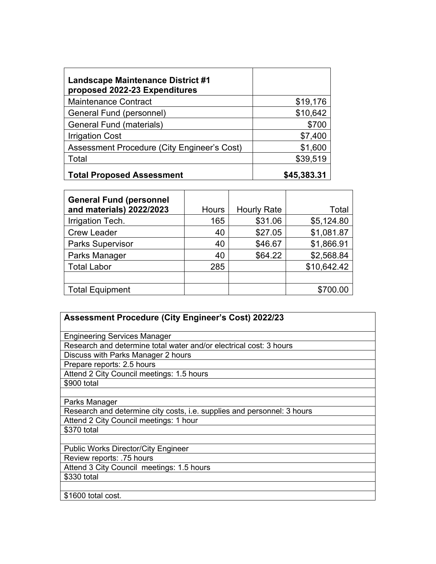| Landscape Maintenance District #1<br>proposed 2022-23 Expenditures |             |
|--------------------------------------------------------------------|-------------|
| <b>Maintenance Contract</b>                                        | \$19,176    |
| General Fund (personnel)                                           | \$10,642    |
| <b>General Fund (materials)</b>                                    | \$700       |
| <b>Irrigation Cost</b>                                             | \$7,400     |
| Assessment Procedure (City Engineer's Cost)                        | \$1,600     |
| Total                                                              | \$39,519    |
| <b>Total Proposed Assessment</b>                                   | \$45,383.31 |

| <b>General Fund (personnel</b><br>and materials) 2022/2023 | <b>Hours</b> | <b>Hourly Rate</b> | Total       |
|------------------------------------------------------------|--------------|--------------------|-------------|
| Irrigation Tech.                                           | 165          | \$31.06            | \$5,124.80  |
| <b>Crew Leader</b>                                         | 40           | \$27.05            | \$1,081.87  |
| <b>Parks Supervisor</b>                                    | 40           | \$46.67            | \$1,866.91  |
| Parks Manager                                              | 40           | \$64.22            | \$2,568.84  |
| <b>Total Labor</b>                                         | 285          |                    | \$10,642.42 |
|                                                            |              |                    |             |
| <b>Total Equipment</b>                                     |              |                    | \$700.00    |

| <b>Assessment Procedure (City Engineer's Cost) 2022/23</b>                     |  |  |
|--------------------------------------------------------------------------------|--|--|
|                                                                                |  |  |
| <b>Engineering Services Manager</b>                                            |  |  |
| Research and determine total water and/or electrical cost: 3 hours             |  |  |
| Discuss with Parks Manager 2 hours                                             |  |  |
| Prepare reports: 2.5 hours                                                     |  |  |
| Attend 2 City Council meetings: 1.5 hours                                      |  |  |
| \$900 total                                                                    |  |  |
|                                                                                |  |  |
| Parks Manager                                                                  |  |  |
| Research and determine city costs, <i>i.e.</i> supplies and personnel: 3 hours |  |  |
| Attend 2 City Council meetings: 1 hour                                         |  |  |
| \$370 total                                                                    |  |  |
|                                                                                |  |  |
| <b>Public Works Director/City Engineer</b>                                     |  |  |
| Review reports: .75 hours                                                      |  |  |
| Attend 3 City Council meetings: 1.5 hours                                      |  |  |
| \$330 total                                                                    |  |  |
|                                                                                |  |  |
| \$1600 total cost.                                                             |  |  |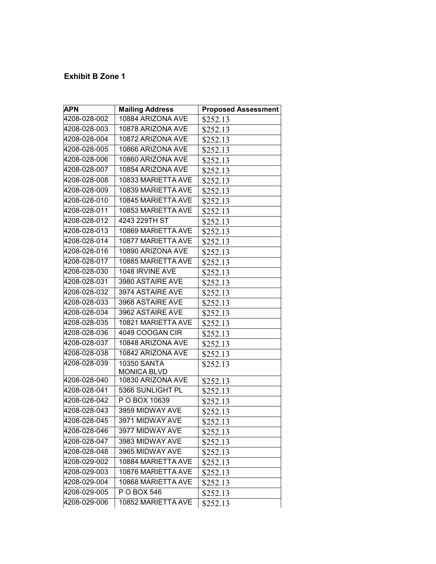# **Exhibit B Zone 1**

| <b>APN</b>   | <b>Mailing Address</b>                   | <b>Proposed Assessment</b> |
|--------------|------------------------------------------|----------------------------|
| 4208-028-002 | 10884 ARIZONA AVE                        | \$252.13                   |
| 4208-028-003 | 10878 ARIZONA AVE                        | \$252.13                   |
| 4208-028-004 | 10872 ARIZONA AVE                        | \$252.13                   |
| 4208-028-005 | 10866 ARIZONA AVE                        | \$252.13                   |
| 4208-028-006 | 10860 ARIZONA AVE                        | \$252.13                   |
| 4208-028-007 | 10854 ARIZONA AVE                        | \$252.13                   |
| 4208-028-008 | 10833 MARIETTA AVE                       | \$252.13                   |
| 4208-028-009 | 10839 MARIETTA AVE                       | \$252.13                   |
| 4208-028-010 | 10845 MARIETTA AVE                       | \$252.13                   |
| 4208-028-011 | 10853 MARIETTA AVE                       | \$252.13                   |
| 4208-028-012 | 4243 229TH ST                            | \$252.13                   |
| 4208-028-013 | 10869 MARIETTA AVE                       | \$252.13                   |
| 4208-028-014 | 10877 MARIETTA AVE                       | \$252.13                   |
| 4208-028-016 | 10890 ARIZONA AVE                        | \$252.13                   |
| 4208-028-017 | 10885 MARIETTA AVE                       | \$252.13                   |
| 4208-028-030 | 1048 IRVINE AVE                          | \$252.13                   |
| 4208-028-031 | 3980 ASTAIRE AVE                         | \$252.13                   |
| 4208-028-032 | 3974 ASTAIRE AVE                         | \$252.13                   |
| 4208-028-033 | 3968 ASTAIRE AVE                         | \$252.13                   |
| 4208-028-034 | 3962 ASTAIRE AVE                         | \$252.13                   |
| 4208-028-035 | 10821 MARIETTA AVE                       | \$252.13                   |
| 4208-028-036 | 4049 COOGAN CIR                          | \$252.13                   |
| 4208-028-037 | 10848 ARIZONA AVE                        | \$252.13                   |
| 4208-028-038 | 10842 ARIZONA AVE                        | \$252.13                   |
| 4208-028-039 | <b>10350 SANTA</b><br><b>MONICA BLVD</b> | \$252.13                   |
| 4208-028-040 | 10830 ARIZONA AVE                        | \$252.13                   |
| 4208-028-041 | 5366 SUNLIGHT PL                         | \$252.13                   |
| 4208-028-042 | P O BOX 10639                            | \$252.13                   |
| 4208-028-043 | 3959 MIDWAY AVE                          | \$252.13                   |
| 4208-028-045 | 3971 MIDWAY AVE                          | \$252.13                   |
| 4208-028-046 | 3977 MIDWAY AVE                          | \$252.13                   |
| 4208-028-047 | 3983 MIDWAY AVE                          | \$252.13                   |
| 4208-028-048 | 3965 MIDWAY AVE                          | \$252.13                   |
| 4208-029-002 | 10884 MARIETTA AVE                       | \$252.13                   |
| 4208-029-003 | 10876 MARIETTA AVE                       | \$252.13                   |
| 4208-029-004 | 10868 MARIETTA AVE                       | \$252.13                   |
| 4208-029-005 | P O BOX 546                              | \$252.13                   |
| 4208-029-006 | 10852 MARIETTA AVE                       | \$252.13                   |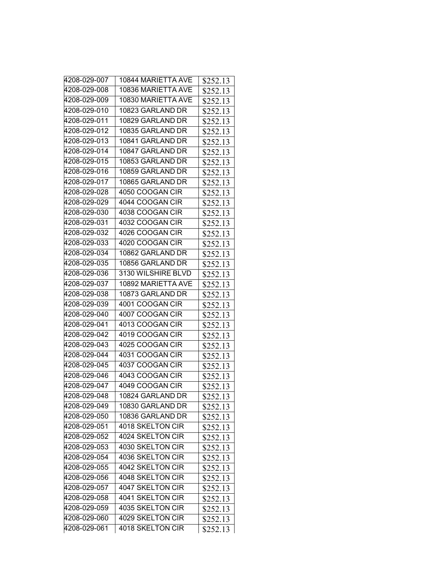| 4208-029-007 | 10844 MARIETTA AVE      | \$252.13 |
|--------------|-------------------------|----------|
| 4208-029-008 | 10836 MARIETTA AVE      | \$252.13 |
| 4208-029-009 | 10830 MARIETTA AVE      | \$252.13 |
| 4208-029-010 | 10823 GARLAND DR        | \$252.13 |
| 4208-029-011 | 10829 GARLAND DR        | \$252.13 |
| 4208-029-012 | 10835 GARLAND DR        | \$252.13 |
| 4208-029-013 | 10841 GARLAND DR        | \$252.13 |
| 4208-029-014 | 10847 GARLAND DR        | \$252.13 |
| 4208-029-015 | 10853 GARLAND DR        | \$252.13 |
| 4208-029-016 | 10859 GARLAND DR        | \$252.13 |
| 4208-029-017 | 10865 GARLAND DR        | \$252.13 |
| 4208-029-028 | 4050 COOGAN CIR         | \$252.13 |
| 4208-029-029 | 4044 COOGAN CIR         | \$252.13 |
| 4208-029-030 | 4038 COOGAN CIR         | \$252.13 |
| 4208-029-031 | 4032 COOGAN CIR         | \$252.13 |
| 4208-029-032 | 4026 COOGAN CIR         | \$252.13 |
| 4208-029-033 | 4020 COOGAN CIR         | \$252.13 |
| 4208-029-034 | 10862 GARLAND DR        | \$252.13 |
| 4208-029-035 | 10856 GARLAND DR        | \$252.13 |
| 4208-029-036 | 3130 WILSHIRE BLVD      | \$252.13 |
| 4208-029-037 | 10892 MARIETTA AVE      | \$252.13 |
| 4208-029-038 | 10873 GARLAND DR        | \$252.13 |
| 4208-029-039 | 4001 COOGAN CIR         | \$252.13 |
| 4208-029-040 | 4007 COOGAN CIR         | \$252.13 |
| 4208-029-041 | 4013 COOGAN CIR         | \$252.13 |
| 4208-029-042 | 4019 COOGAN CIR         | \$252.13 |
| 4208-029-043 | 4025 COOGAN CIR         | \$252.13 |
| 4208-029-044 | 4031 COOGAN CIR         | \$252.13 |
| 4208-029-045 | 4037 COOGAN CIR         | \$252.13 |
| 4208-029-046 | 4043 COOGAN CIR         | \$252.13 |
| 4208-029-047 | 4049 COOGAN CIR         | \$252.13 |
| 4208-029-048 | 10824 GARLAND DR        | \$252.13 |
| 4208-029-049 | 10830 GARLAND DR        | \$252.13 |
| 4208-029-050 | 10836 GARLAND DR        | \$252.13 |
| 4208-029-051 | 4018 SKELTON CIR        | \$252.13 |
| 4208-029-052 | 4024 SKELTON CIR        | \$252.13 |
| 4208-029-053 | 4030 SKELTON CIR        | \$252.13 |
| 4208-029-054 | 4036 SKELTON CIR        | \$252.13 |
| 4208-029-055 | 4042 SKELTON CIR        | \$252.13 |
| 4208-029-056 | 4048 SKELTON CIR        | \$252.13 |
| 4208-029-057 | 4047 SKELTON CIR        | \$252.13 |
| 4208-029-058 | 4041 SKELTON CIR        | \$252.13 |
| 4208-029-059 | 4035 SKELTON CIR        | \$252.13 |
| 4208-029-060 | <b>4029 SKELTON CIR</b> | \$252.13 |
| 4208-029-061 | 4018 SKELTON CIR        | \$252.13 |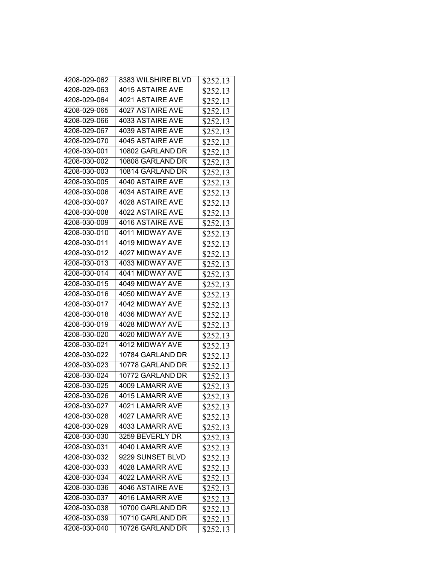| 4208-029-062       | 8383 WILSHIRE BLVD | \$252.13 |
|--------------------|--------------------|----------|
| 4208-029-063       | 4015 ASTAIRE AVE   | \$252.13 |
| 4208-029-064       | 4021 ASTAIRE AVE   | \$252.13 |
| $4208 - 029 - 065$ | 4027 ASTAIRE AVE   | \$252.13 |
| 4208-029-066       | 4033 ASTAIRE AVE   | \$252.13 |
| 4208-029-067       | 4039 ASTAIRE AVE   | \$252.13 |
| 4208-029-070       | 4045 ASTAIRE AVE   | \$252.13 |
| 4208-030-001       | 10802 GARLAND DR   | \$252.13 |
| 4208-030-002       | 10808 GARLAND DR   | \$252.13 |
| 4208-030-003       | 10814 GARLAND DR   | \$252.13 |
| 4208-030-005       | 4040 ASTAIRE AVE   | \$252.13 |
| 4208-030-006       | 4034 ASTAIRE AVE   | \$252.13 |
| 4208-030-007       | 4028 ASTAIRE AVE   | \$252.13 |
| 4208-030-008       | 4022 ASTAIRE AVE   | \$252.13 |
| 4208-030-009       | 4016 ASTAIRE AVE   | \$252.13 |
| 4208-030-010       | 4011 MIDWAY AVE    | \$252.13 |
| 4208-030-011       | 4019 MIDWAY AVE    | \$252.13 |
| 4208-030-012       | 4027 MIDWAY AVE    | \$252.13 |
| 4208-030-013       | 4033 MIDWAY AVE    | \$252.13 |
| 4208-030-014       | 4041 MIDWAY AVE    | \$252.13 |
| 4208-030-015       | 4049 MIDWAY AVE    | \$252.13 |
| 4208-030-016       | 4050 MIDWAY AVE    | \$252.13 |
| 4208-030-017       | 4042 MIDWAY AVE    | \$252.13 |
| 4208-030-018       | 4036 MIDWAY AVE    | \$252.13 |
| 4208-030-019       | 4028 MIDWAY AVE    | \$252.13 |
| 4208-030-020       | 4020 MIDWAY AVE    | \$252.13 |
| 4208-030-021       | 4012 MIDWAY AVE    | \$252.13 |
| 4208-030-022       | 10784 GARLAND DR   | \$252.13 |
| 4208-030-023       | 10778 GARLAND DR   | \$252.13 |
| 4208-030-024       | 10772 GARLAND DR   | \$252.13 |
| 4208-030-025       | 4009 LAMARR AVE    | \$252.13 |
| 4208-030-026       | 4015 LAMARR AVE    | \$252.13 |
| 4208-030-027       | 4021 LAMARR AVE    | \$252.13 |
| 4208-030-028       | 4027 LAMARR AVE    | \$252.13 |
| 4208-030-029       | 4033 LAMARR AVE    | \$252.13 |
| 4208-030-030       | 3259 BEVERLY DR    | \$252.13 |
| 4208-030-031       | 4040 LAMARR AVE    | \$252.13 |
| 4208-030-032       | 9229 SUNSET BLVD   | \$252.13 |
| 4208-030-033       | 4028 LAMARR AVE    | \$252.13 |
| 4208-030-034       | 4022 LAMARR AVE    | \$252.13 |
| 4208-030-036       | 4046 ASTAIRE AVE   | \$252.13 |
| 4208-030-037       | 4016 LAMARR AVE    | \$252.13 |
| 4208-030-038       | 10700 GARLAND DR   | \$252.13 |
| 4208-030-039       | 10710 GARLAND DR   | \$252.13 |
| 4208-030-040       | 10726 GARLAND DR   | \$252.13 |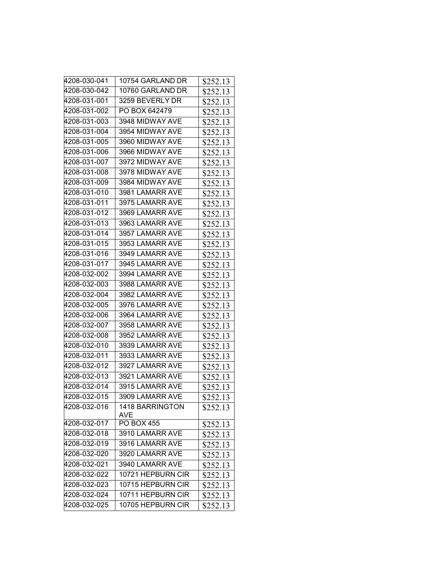| 4208-030-041 | 10754 GARLAND DR              | \$252.13 |
|--------------|-------------------------------|----------|
| 4208-030-042 | 10760 GARLAND DR              | \$252.13 |
| 4208-031-001 | 3259 BEVERLY DR               | \$252.13 |
| 4208-031-002 | PO BOX 642479                 | \$252.13 |
| 4208-031-003 | 3948 MIDWAY AVE               | \$252.13 |
| 4208-031-004 | 3954 MIDWAY AVE               | \$252.13 |
| 4208-031-005 | 3960 MIDWAY AVE               | \$252.13 |
| 4208-031-006 | 3966 MIDWAY AVE               | \$252.13 |
| 4208-031-007 | 3972 MIDWAY AVE               | \$252.13 |
| 4208-031-008 | 3978 MIDWAY AVE               | \$252.13 |
| 4208-031-009 | 3984 MIDWAY AVE               | \$252.13 |
| 4208-031-010 | 3981 LAMARR AVE               | \$252.13 |
| 4208-031-011 | 3975 LAMARR AVE               | \$252.13 |
| 4208-031-012 | 3969 LAMARR AVE               | \$252.13 |
| 4208-031-013 | 3963 LAMARR AVE               | \$252.13 |
| 4208-031-014 | 3957 LAMARR AVE               | \$252.13 |
| 4208-031-015 | 3953 LAMARR AVE               | \$252.13 |
| 4208-031-016 | 3949 LAMARR AVE               | \$252.13 |
| 4208-031-017 | 3945 LAMARR AVE               | \$252.13 |
| 4208-032-002 | 3994 LAMARR AVE               | \$252.13 |
| 4208-032-003 | 3988 LAMARR AVE               | \$252.13 |
| 4208-032-004 | 3982 LAMARR AVE               | \$252.13 |
| 4208-032-005 | 3976 LAMARR AVE               | \$252.13 |
| 4208-032-006 | 3964 LAMARR AVE               | \$252.13 |
| 4208-032-007 | 3958 LAMARR AVE               | \$252.13 |
| 4208-032-008 | 3952 LAMARR AVE               | \$252.13 |
| 4208-032-010 | 3939 LAMARR AVE               | \$252.13 |
| 4208-032-011 | 3933 LAMARR AVE               | \$252.13 |
| 4208-032-012 | 3927 LAMARR AVE               | \$252.13 |
| 4208-032-013 | 3921 LAMARR AVE               | \$252.13 |
| 4208-032-014 | 3915 LAMARR AVE               | \$252.13 |
| 4208-032-015 | 3909 LAMARR AVE               | \$252.13 |
| 4208-032-016 | <b>1418 BARRINGTON</b><br>AVE | \$252.13 |
| 4208-032-017 | PO BOX 455                    | \$252.13 |
| 4208-032-018 | 3910 LAMARR AVE               | \$252.13 |
| 4208-032-019 | 3916 LAMARR AVE               | \$252.13 |
| 4208-032-020 | 3920 LAMARR AVE               | \$252.13 |
| 4208-032-021 | 3940 LAMARR AVE               | \$252.13 |
| 4208-032-022 | 10721 HEPBURN CIR             | \$252.13 |
| 4208-032-023 | 10715 HEPBURN CIR             | \$252.13 |
| 4208-032-024 | 10711 HEPBURN CIR             | \$252.13 |
| 4208-032-025 | 10705 HEPBURN CIR             | \$252.13 |